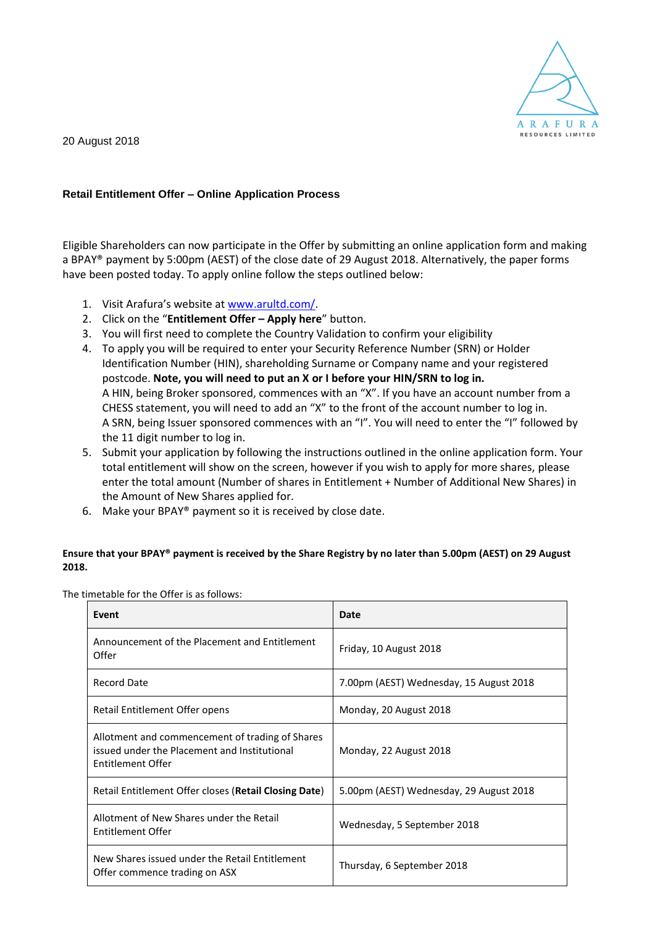

20 August 2018

## **Retail Entitlement Offer – Online Application Process**

Eligible Shareholders can now participate in the Offer by submitting an online application form and making a BPAY® payment by 5:00pm (AEST) of the close date of 29 August 2018. Alternatively, the paper forms have been posted today. To apply online follow the steps outlined below:

- 1. Visit Arafura's website at [www.arultd.com/.](http://www.arultd.com/)
- 2. Click on the "**Entitlement Offer – Apply here**" button.
- 3. You will first need to complete the Country Validation to confirm your eligibility
- 4. To apply you will be required to enter your Security Reference Number (SRN) or Holder Identification Number (HIN), shareholding Surname or Company name and your registered postcode. **Note, you will need to put an X or I before your HIN/SRN to log in.** A HIN, being Broker sponsored, commences with an "X". If you have an account number from a CHESS statement, you will need to add an "X" to the front of the account number to log in. A SRN, being Issuer sponsored commences with an "I". You will need to enter the "I" followed by the 11 digit number to log in.
- 5. Submit your application by following the instructions outlined in the online application form. Your total entitlement will show on the screen, however if you wish to apply for more shares, please enter the total amount (Number of shares in Entitlement + Number of Additional New Shares) in the Amount of New Shares applied for.
- 6. Make your BPAY® payment so it is received by close date.

## **Ensure that your BPAY® payment is received by the Share Registry by no later than 5.00pm (AEST) on 29 August 2018.**

The timetable for the Offer is as follows:

| Event                                                                                                                       | Date                                    |
|-----------------------------------------------------------------------------------------------------------------------------|-----------------------------------------|
| Announcement of the Placement and Entitlement<br>Offer                                                                      | Friday, 10 August 2018                  |
| Record Date                                                                                                                 | 7.00pm (AEST) Wednesday, 15 August 2018 |
| Retail Entitlement Offer opens                                                                                              | Monday, 20 August 2018                  |
| Allotment and commencement of trading of Shares<br>issued under the Placement and Institutional<br><b>Entitlement Offer</b> | Monday, 22 August 2018                  |
| Retail Entitlement Offer closes (Retail Closing Date)                                                                       | 5.00pm (AEST) Wednesday, 29 August 2018 |
| Allotment of New Shares under the Retail<br>Entitlement Offer                                                               | Wednesday, 5 September 2018             |
| New Shares issued under the Retail Entitlement<br>Offer commence trading on ASX                                             | Thursday, 6 September 2018              |